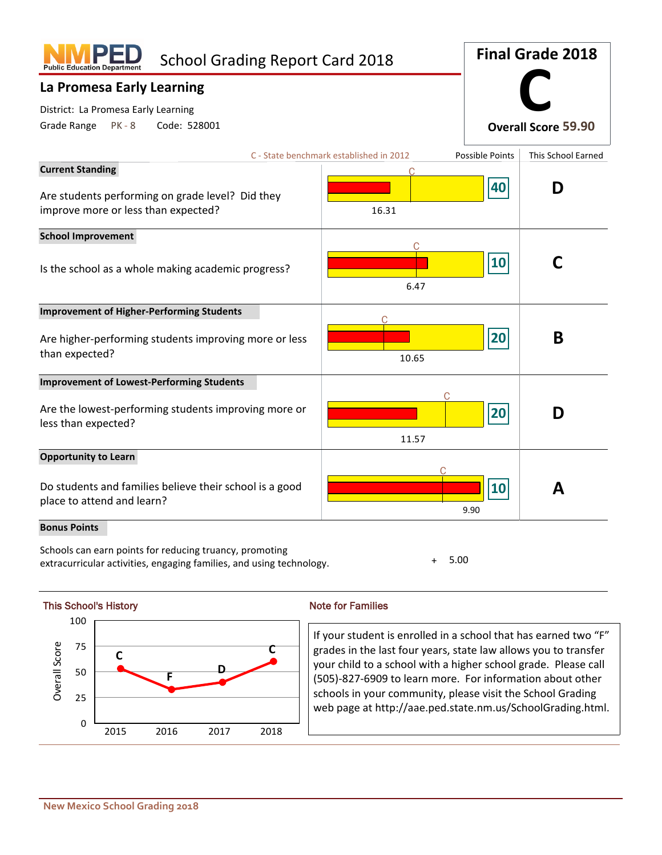| <b>School Grading Report Card 2018</b><br><b>Public Education Department</b>            |                                         | <b>Final Grade 2018</b> |                            |  |
|-----------------------------------------------------------------------------------------|-----------------------------------------|-------------------------|----------------------------|--|
| La Promesa Early Learning                                                               |                                         |                         |                            |  |
| District: La Promesa Early Learning                                                     |                                         |                         |                            |  |
| Grade Range<br>Code: 528001<br>PK - 8                                                   |                                         |                         | <b>Overall Score 59.90</b> |  |
|                                                                                         | C - State benchmark established in 2012 | Possible Points         | This School Earned         |  |
| <b>Current Standing</b>                                                                 |                                         | 40                      | D                          |  |
| Are students performing on grade level? Did they<br>improve more or less than expected? | 16.31                                   |                         |                            |  |
| <b>School Improvement</b>                                                               |                                         |                         |                            |  |
| Is the school as a whole making academic progress?                                      | 6.47                                    | 10                      |                            |  |
| <b>Improvement of Higher-Performing Students</b>                                        |                                         |                         |                            |  |
| Are higher-performing students improving more or less<br>than expected?                 | 10.65                                   | 20                      | B                          |  |
| <b>Improvement of Lowest-Performing Students</b>                                        |                                         |                         |                            |  |
| Are the lowest-performing students improving more or<br>less than expected?             | 11.57                                   | 20                      | D                          |  |
| <b>Opportunity to Learn</b>                                                             |                                         |                         |                            |  |
| Do students and families believe their school is a good<br>place to attend and learn?   |                                         | 10<br>9.90              | А                          |  |
| <b>Bonus Points</b>                                                                     |                                         |                         |                            |  |

Schools can earn points for reducing truancy, promoting extracurricular activities, engaging families, and using technology. + 5.00



If your student is enrolled in a school that has earned two "F" grades in the last four years, state law allows you to transfer your child to a school with a higher school grade. Please call (505)-827-6909 to learn more. For information about other schools in your community, please visit the School Grading web page at http://aae.ped.state.nm.us/SchoolGrading.html.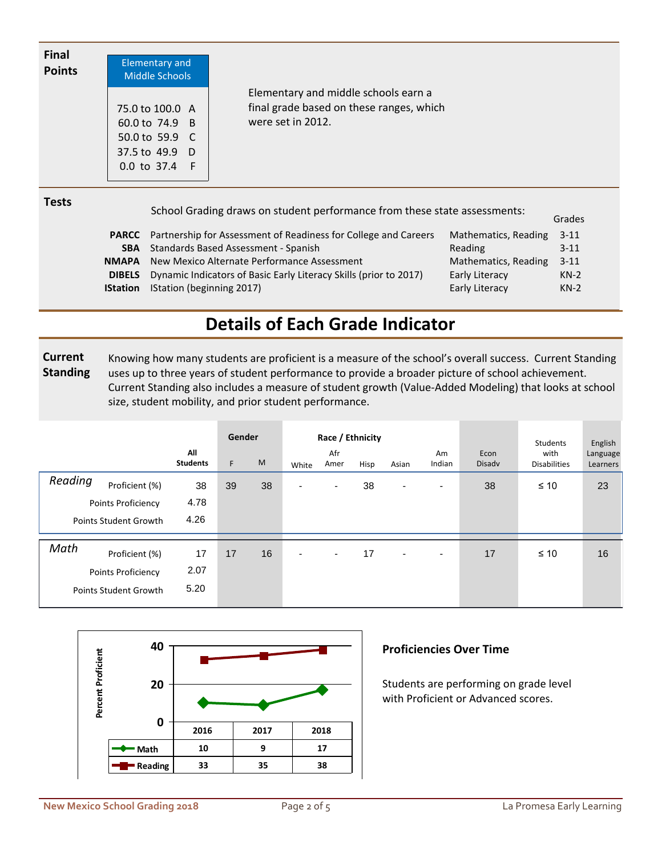| <b>Final</b><br><b>Points</b> | <b>Elementary and</b><br>Middle Schools                                    |                                                                                                       |        |
|-------------------------------|----------------------------------------------------------------------------|-------------------------------------------------------------------------------------------------------|--------|
|                               | 75.0 to 100.0 A<br>60.0 to 74.9 B<br>50.0 to 59.9 $\,$ C<br>37.5 to 49.9 D | Elementary and middle schools earn a<br>final grade based on these ranges, which<br>were set in 2012. |        |
| <b>Tests</b>                  | $0.0$ to 37.4 F                                                            | School Grading draws on student performance from these state assessments:                             | Grades |

|                                                                   |                                                                                                                                                                     | Giaues   |
|-------------------------------------------------------------------|---------------------------------------------------------------------------------------------------------------------------------------------------------------------|----------|
|                                                                   | Mathematics, Reading                                                                                                                                                | $3 - 11$ |
|                                                                   | Reading                                                                                                                                                             | $3 - 11$ |
|                                                                   | Mathematics, Reading                                                                                                                                                | $3 - 11$ |
| Dynamic Indicators of Basic Early Literacy Skills (prior to 2017) | Early Literacy                                                                                                                                                      | $KN-2$   |
| IStation (beginning 2017)                                         | Early Literacy                                                                                                                                                      | $KN-2$   |
|                                                                   | <b>PARCC</b> Partnership for Assessment of Readiness for College and Careers<br>Standards Based Assessment - Spanish<br>New Mexico Alternate Performance Assessment |          |

## **Details of Each Grade Indicator**

 **Current Standing** Knowing how many students are proficient is a measure of the school's overall success. Current Standing uses up to three years of student performance to provide a broader picture of school achievement. Current Standing also includes a measure of student growth (Value-Added Modeling) that looks at school size, student mobility, and prior student performance.

|                                                                                 | All<br><b>Students</b> | Gender<br>F. | M  | White                    | Race / Ethnicity<br>Afr<br>Amer | Hisp | Asian          | Am<br>Indian             | Econ<br><b>Disady</b> | Students<br>with<br><b>Disabilities</b> | English<br>Language<br>Learners |
|---------------------------------------------------------------------------------|------------------------|--------------|----|--------------------------|---------------------------------|------|----------------|--------------------------|-----------------------|-----------------------------------------|---------------------------------|
| Reading<br>Proficient (%)<br>Points Proficiency<br><b>Points Student Growth</b> | 38<br>4.78<br>4.26     | 39           | 38 | $\overline{\phantom{0}}$ | $\overline{\phantom{a}}$        | 38   | ۰              | $\overline{\phantom{a}}$ | 38                    | $\leq 10$                               | 23                              |
| Math<br>Proficient (%)<br>Points Proficiency<br><b>Points Student Growth</b>    | 17<br>2.07<br>5.20     | 17           | 16 | $\blacksquare$           | $\overline{\phantom{a}}$        | 17   | $\blacksquare$ | $\overline{\phantom{a}}$ | 17                    | $\leq 10$                               | 16                              |



### **Proficiencies Over Time**

Students are performing on grade level with Proficient or Advanced scores.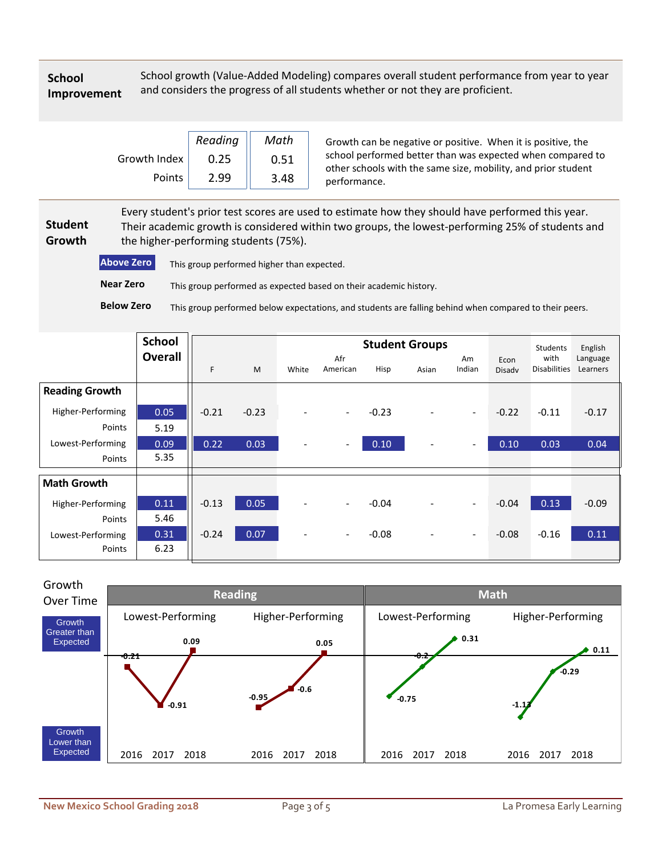### **School Improvement**

School growth (Value-Added Modeling) compares overall student performance from year to year and considers the progress of all students whether or not they are proficient.

|              | Reading | Math |
|--------------|---------|------|
| Growth Index | 0.25    | 0.51 |
| Points       | 2.99    | 3.48 |

Growth can be negative or positive. When it is positive, the school performed better than was expected when compared to other schools with the same size, mobility, and prior student performance.

 **Student Growth** Every student's prior test scores are used to estimate how they should have performed this year. Their academic growth is considered within two groups, the lowest-performing 25% of students and the higher-performing students (75%).

**Above Zero** This group performed higher than expected. **Below Zero Near Zero** This group performed below expectations, and students are falling behind when compared to their peers. This group performed as expected based on their academic history.

|                       | <b>School</b>  |         |         |                          |                          | <b>Student Groups</b> |                              | Students                 | English        |                             |                      |
|-----------------------|----------------|---------|---------|--------------------------|--------------------------|-----------------------|------------------------------|--------------------------|----------------|-----------------------------|----------------------|
|                       | <b>Overall</b> | F       | M       | White                    | Afr<br>American          | Hisp                  | Asian                        | Am<br>Indian             | Econ<br>Disadv | with<br><b>Disabilities</b> | Language<br>Learners |
| <b>Reading Growth</b> |                |         |         |                          |                          |                       |                              |                          |                |                             |                      |
| Higher-Performing     | 0.05           | $-0.21$ | $-0.23$ | $\overline{\phantom{a}}$ | $\overline{\phantom{a}}$ | $-0.23$               | $\overline{\phantom{a}}$     | $\overline{\phantom{a}}$ | $-0.22$        | $-0.11$                     | $-0.17$              |
| Points                | 5.19           |         |         |                          |                          |                       |                              |                          |                |                             |                      |
| Lowest-Performing     | 0.09           | 0.22    | 0.03    | $\overline{\phantom{a}}$ |                          | 0.10                  | $\qquad \qquad \blacksquare$ | $\overline{\phantom{a}}$ | 0.10           | 0.03                        | 0.04                 |
| Points                | 5.35           |         |         |                          |                          |                       |                              |                          |                |                             |                      |
| <b>Math Growth</b>    |                |         |         |                          |                          |                       |                              |                          |                |                             |                      |
| Higher-Performing     | 0.11           | $-0.13$ | 0.05    | $\overline{\phantom{a}}$ | $\overline{\phantom{a}}$ | $-0.04$               |                              | $\overline{\phantom{a}}$ | $-0.04$        | 0.13                        | $-0.09$              |
| Points                | 5.46           |         |         |                          |                          |                       |                              |                          |                |                             |                      |
| Lowest-Performing     | 0.31           | $-0.24$ | 0.07    | $\overline{\phantom{a}}$ | $\overline{\phantom{a}}$ | $-0.08$               | $\overline{\phantom{a}}$     | $\overline{\phantom{a}}$ | $-0.08$        | $-0.16$                     | 0.11                 |
| Points                | 6.23           |         |         |                          |                          |                       |                              |                          |                |                             |                      |

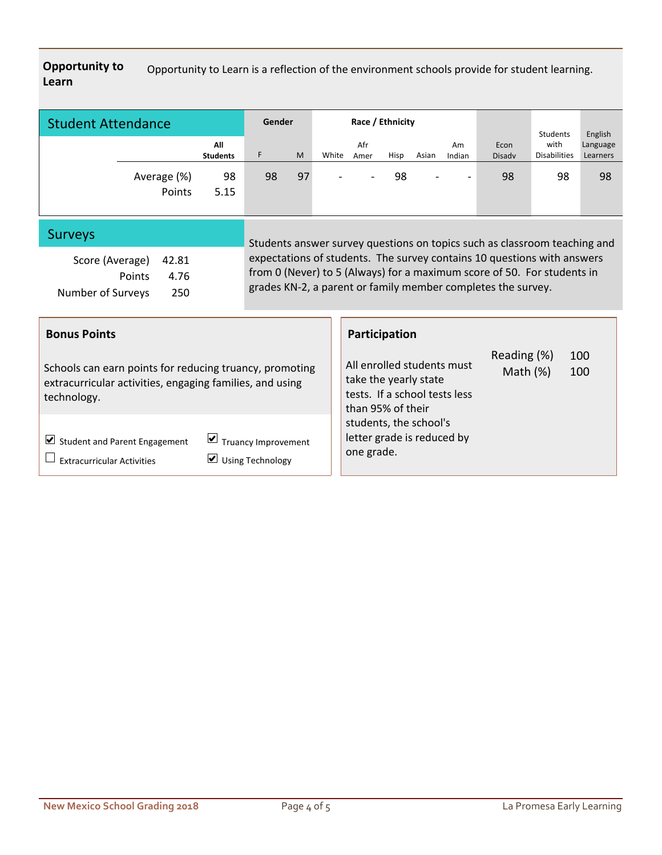**Opportunity to Learn** Opportunity to Learn is a reflection of the environment schools provide for student learning.

| <b>Student Attendance</b> |                       | Gender                 |    |    | Race / Ethnicity         |             |      |                          |                          | Students              | English                     |                      |
|---------------------------|-----------------------|------------------------|----|----|--------------------------|-------------|------|--------------------------|--------------------------|-----------------------|-----------------------------|----------------------|
|                           |                       | All<br><b>Students</b> | F  | M  | White                    | Afr<br>Amer | Hisp | Asian                    | Am<br>Indian             | Econ<br><b>Disady</b> | with<br><b>Disabilities</b> | Language<br>Learners |
|                           | Average (%)<br>Points | 98<br>5.15             | 98 | 97 | $\overline{\phantom{a}}$ | ۰.          | 98   | $\overline{\phantom{0}}$ | $\overline{\phantom{0}}$ | 98                    | 98                          | 98                   |

## Surveys

| Score (Average)   | 42.81 |  |
|-------------------|-------|--|
| Points            | 4.76  |  |
| Number of Surveys | 250   |  |

Students answer survey questions on topics such as classroom teaching and expectations of students. The survey contains 10 questions with answers from 0 (Never) to 5 (Always) for a maximum score of 50. For students in grades KN-2, a parent or family member completes the survey.

| <b>Bonus Points</b>                                                                                                                              | Participation                                                                                                                                        |
|--------------------------------------------------------------------------------------------------------------------------------------------------|------------------------------------------------------------------------------------------------------------------------------------------------------|
| Schools can earn points for reducing truancy, promoting<br>extracurricular activities, engaging families, and using<br>technology.               | Reading (%)<br>100<br>All enrolled students must<br>Math $(%)$<br>100<br>take the yearly state<br>tests. If a school tests less<br>than 95% of their |
| $\vert \blacktriangleright$ Truancy Improvement<br>Student and Parent Engagement<br>$\cup$ Using Technology<br><b>Extracurricular Activities</b> | students, the school's<br>letter grade is reduced by<br>one grade.                                                                                   |